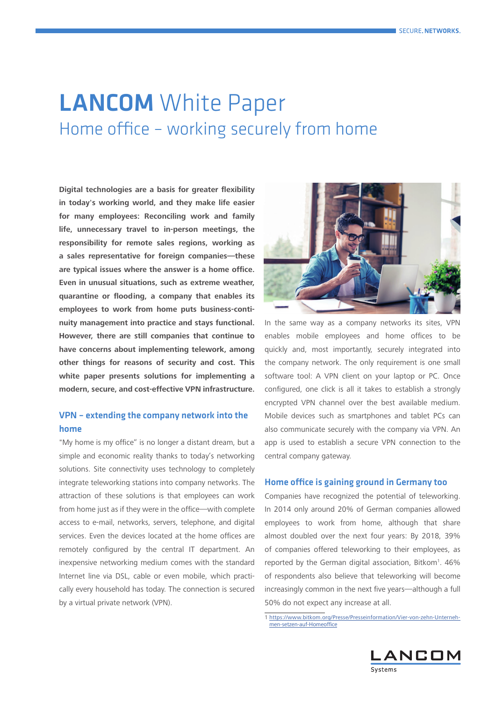# **LANCOM** White Paper Home office – working securely from home

**Digital technologies are a basis for greater flexibility in today's working world, and they make life easier for many employees: Reconciling work and family life, unnecessary travel to in-person meetings, the responsibility for remote sales regions, working as a sales representative for foreign companies—these are typical issues where the answer is a home office. Even in unusual situations, such as extreme weather, quarantine or flooding, a company that enables its employees to work from home puts business-continuity management into practice and stays functional. However, there are still companies that continue to have concerns about implementing telework, among other things for reasons of security and cost. This white paper presents solutions for implementing a modern, secure, and cost-effective VPN infrastructure.**

#### VPN – extending the company network into the home

"My home is my office" is no longer a distant dream, but a simple and economic reality thanks to today's networking solutions. Site connectivity uses technology to completely integrate teleworking stations into company networks. The attraction of these solutions is that employees can work from home just as if they were in the office—with complete access to e-mail, networks, servers, telephone, and digital services. Even the devices located at the home offices are remotely configured by the central IT department. An inexpensive networking medium comes with the standard Internet line via DSL, cable or even mobile, which practically every household has today. The connection is secured by a virtual private network (VPN).



In the same way as a company networks its sites, VPN enables mobile employees and home offices to be quickly and, most importantly, securely integrated into the company network. The only requirement is one small software tool: A VPN client on your laptop or PC. Once configured, one click is all it takes to establish a strongly encrypted VPN channel over the best available medium. Mobile devices such as smartphones and tablet PCs can also communicate securely with the company via VPN. An app is used to establish a secure VPN connection to the central company gateway.

#### Home office is gaining ground in Germany too

Companies have recognized the potential of teleworking. In 2014 only around 20% of German companies allowed employees to work from home, although that share almost doubled over the next four years: By 2018, 39% of companies offered teleworking to their employees, as reported by the German digital association, Bitkom<sup>1</sup>. 46% of respondents also believe that teleworking will become increasingly common in the next five years—although a full 50% do not expect any increase at all.

1 [https://www.bitkom.org/Presse/Presseinformation/Vier-von-zehn-Unterneh](https://www.bitkom.org/Presse/Presseinformation/Vier-von-zehn-Unternehmen-setzen-auf-Homeoffice)[men-setzen-auf-Homeoffice](https://www.bitkom.org/Presse/Presseinformation/Vier-von-zehn-Unternehmen-setzen-auf-Homeoffice)

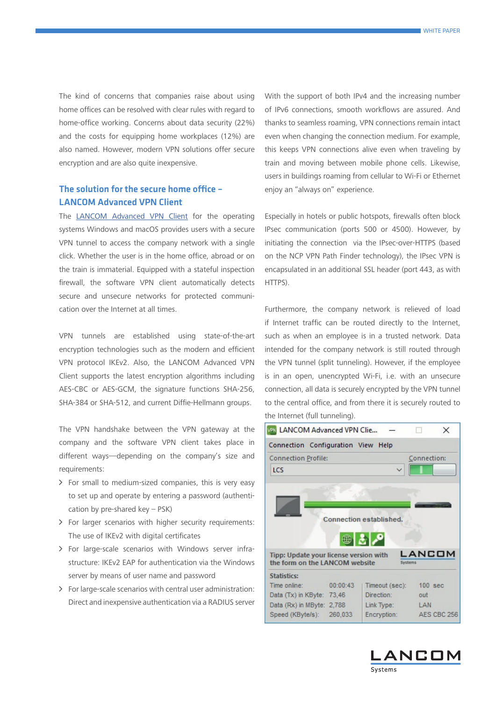The kind of concerns that companies raise about using home offices can be resolved with clear rules with regard to home-office working. Concerns about data security (22%) and the costs for equipping home workplaces (12%) are also named. However, modern VPN solutions offer secure encryption and are also quite inexpensive.

#### The solution for the secure home office – LANCOM Advanced VPN Client

The [LANCOM Advanced VPN Client](https://www.lancom-systems.com/products/routers-vpn-gateways/software-vpn-clients/) for the operating systems Windows and macOS provides users with a secure VPN tunnel to access the company network with a single click. Whether the user is in the home office, abroad or on the train is immaterial. Equipped with a stateful inspection firewall, the software VPN client automatically detects secure and unsecure networks for protected communication over the Internet at all times.

VPN tunnels are established using state-of-the-art encryption technologies such as the modern and efficient VPN protocol IKEv2. Also, the LANCOM Advanced VPN Client supports the latest encryption algorithms including AES-CBC or AES-GCM, the signature functions SHA-256, SHA-384 or SHA-512, and current Diffie-Hellmann groups.

The VPN handshake between the VPN gateway at the company and the software VPN client takes place in different ways—depending on the company's size and requirements:

- > For small to medium-sized companies, this is very easy to set up and operate by entering a password (authentication by pre-shared key – PSK)
- A For larger scenarios with higher security requirements: The use of IKEv2 with digital certificates
- > For large-scale scenarios with Windows server infrastructure: IKEv2 EAP for authentication via the Windows server by means of user name and password
- $\triangleright$  For large-scale scenarios with central user administration: Direct and inexpensive authentication via a RADIUS server

With the support of both IPv4 and the increasing number of IPv6 connections, smooth workflows are assured. And thanks to seamless roaming, VPN connections remain intact even when changing the connection medium. For example, this keeps VPN connections alive even when traveling by train and moving between mobile phone cells. Likewise, users in buildings roaming from cellular to Wi-Fi or Ethernet enjoy an "always on" experience.

Especially in hotels or public hotspots, firewalls often block IPsec communication (ports 500 or 4500). However, by initiating the connection via the IPsec-over-HTTPS (based on the NCP VPN Path Finder technology), the IPsec VPN is encapsulated in an additional SSL header (port 443, as with HTTPS).

Furthermore, the company network is relieved of load if Internet traffic can be routed directly to the Internet, such as when an employee is in a trusted network. Data intended for the company network is still routed through the VPN tunnel (split tunneling). However, if the employee is in an open, unencrypted Wi-Fi, i.e. with an unsecure connection, all data is securely encrypted by the VPN tunnel to the central office, and from there it is securely routed to the Internet (full tunneling).



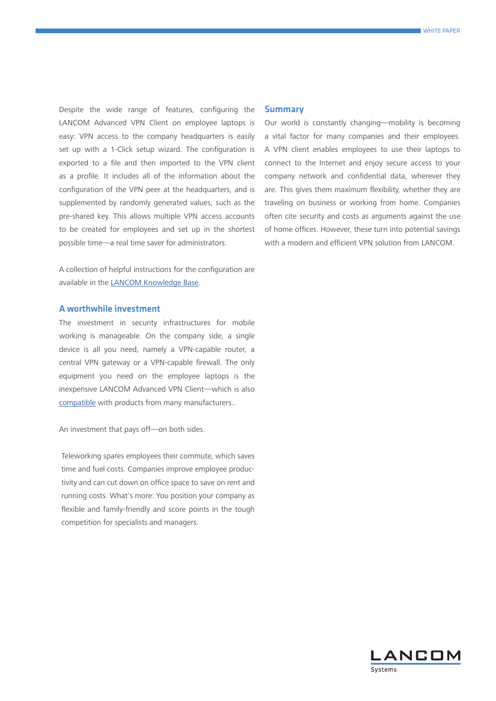Despite the wide range of features, configuring the LANCOM Advanced VPN Client on employee laptops is easy: VPN access to the company headquarters is easily set up with a 1-Click setup wizard. The configuration is exported to a file and then imported to the VPN client as a profile. It includes all of the information about the configuration of the VPN peer at the headquarters, and is supplemented by randomly generated values, such as the pre-shared key. This allows multiple VPN access accounts to be created for employees and set up in the shortest possible time—a real time saver for administrators.

A collection of helpful instructions for the configuration are available in the [LANCOM Knowledge Base](https://support.lancom-systems.com/knowledge/display/KBEN/Knowledge+Base+documents+for+the+LANCOM+Advanced+VPN+Client).

#### A worthwhile investment

The investment in security infrastructures for mobile working is manageable. On the company side, a single device is all you need, namely a VPN-capable router, a central VPN gateway or a VPN-capable firewall. The only equipment you need on the employee laptops is the inexpensive LANCOM Advanced VPN Client—which is also [compatible](https://www.lancom-systems.com/products/routers-vpn-gateways/lancom-advanced-vpn-client-windows/#c63054) with products from many manufacturers..

An investment that pays off—on both sides.

Teleworking spares employees their commute, which saves time and fuel costs. Companies improve employee productivity and can cut down on office space to save on rent and running costs. What's more: You position your company as flexible and family-friendly and score points in the tough competition for specialists and managers.

#### Summary

Our world is constantly changing—mobility is becoming a vital factor for many companies and their employees. A VPN client enables employees to use their laptops to connect to the Internet and enjoy secure access to your company network and confidential data, wherever they are. This gives them maximum flexibility, whether they are traveling on business or working from home. Companies often cite security and costs as arguments against the use of home offices. However, these turn into potential savings with a modern and efficient VPN solution from LANCOM.